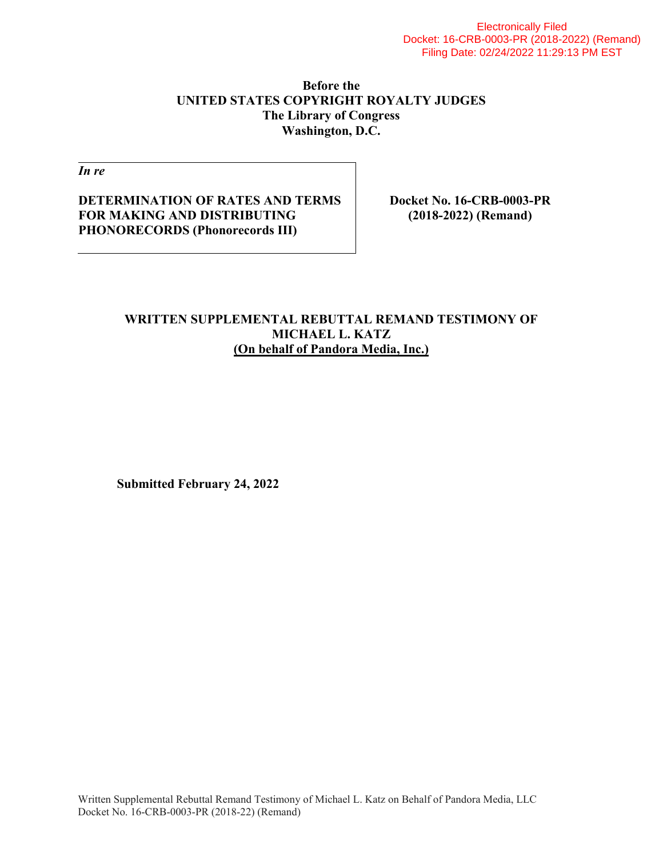### **Before the UNITED STATES COPYRIGHT ROYALTY JUDGES The Library of Congress Washington, D.C.**

*In re* 

### **DETERMINATION OF RATES AND TERMS FOR MAKING AND DISTRIBUTING PHONORECORDS (Phonorecords III)**

**Docket No. 16-CRB-0003-PR (2018-2022) (Remand)** 

#### **WRITTEN SUPPLEMENTAL REBUTTAL REMAND TESTIMONY OF MICHAEL L. KATZ (On behalf of Pandora Media, Inc.)**

 **Submitted February 24, 2022**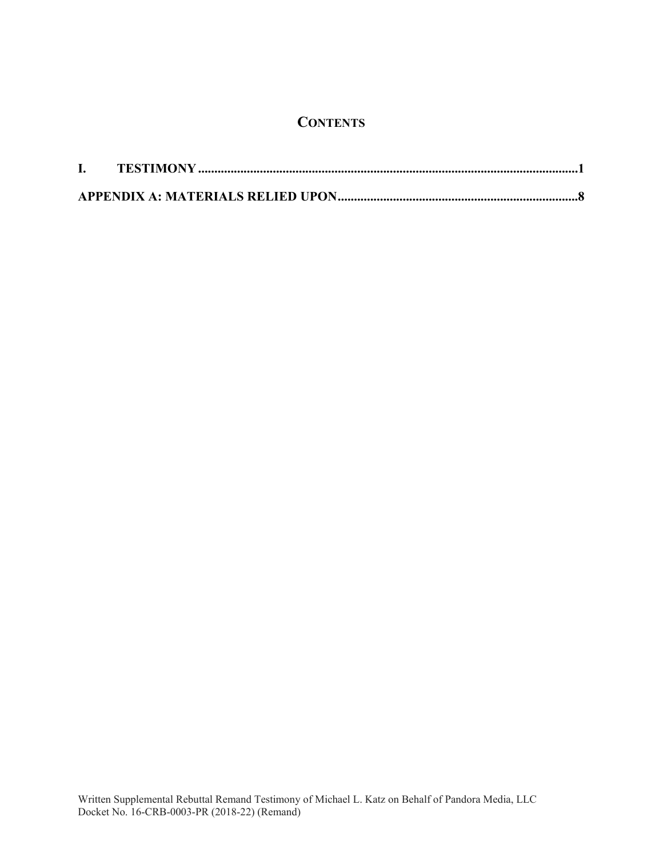## **CONTENTS**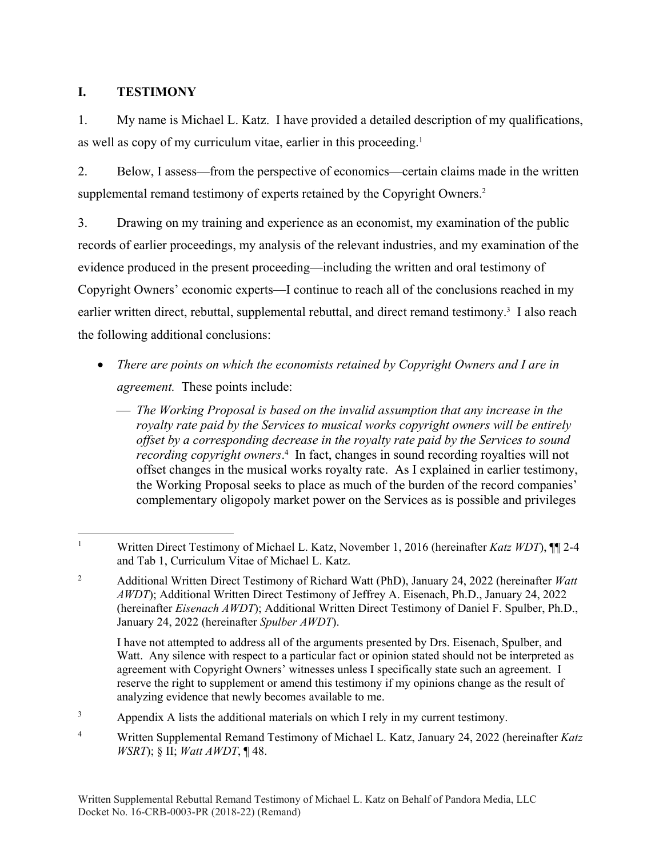### **I. TESTIMONY**

1. My name is Michael L. Katz. I have provided a detailed description of my qualifications, as well as copy of my curriculum vitae, earlier in this proceeding.<sup>1</sup>

2. Below, I assess—from the perspective of economics—certain claims made in the written supplemental remand testimony of experts retained by the Copyright Owners.<sup>2</sup>

3. Drawing on my training and experience as an economist, my examination of the public records of earlier proceedings, my analysis of the relevant industries, and my examination of the evidence produced in the present proceeding—including the written and oral testimony of Copyright Owners' economic experts—I continue to reach all of the conclusions reached in my earlier written direct, rebuttal, supplemental rebuttal, and direct remand testimony.<sup>3</sup> I also reach the following additional conclusions:

- *There are points on which the economists retained by Copyright Owners and I are in agreement.* These points include:
	- *The Working Proposal is based on the invalid assumption that any increase in the royalty rate paid by the Services to musical works copyright owners will be entirely offset by a corresponding decrease in the royalty rate paid by the Services to sound recording copyright owners*. 4 In fact, changes in sound recording royalties will not offset changes in the musical works royalty rate. As I explained in earlier testimony, the Working Proposal seeks to place as much of the burden of the record companies' complementary oligopoly market power on the Services as is possible and privileges

 I have not attempted to address all of the arguments presented by Drs. Eisenach, Spulber, and Watt. Any silence with respect to a particular fact or opinion stated should not be interpreted as agreement with Copyright Owners' witnesses unless I specifically state such an agreement. I reserve the right to supplement or amend this testimony if my opinions change as the result of analyzing evidence that newly becomes available to me.

3 Appendix A lists the additional materials on which I rely in my current testimony.

 $\overline{a}$ 1 Written Direct Testimony of Michael L. Katz, November 1, 2016 (hereinafter *Katz WDT*), ¶¶ 2-4 and Tab 1, Curriculum Vitae of Michael L. Katz.

<sup>2</sup> Additional Written Direct Testimony of Richard Watt (PhD), January 24, 2022 (hereinafter *Watt AWDT*); Additional Written Direct Testimony of Jeffrey A. Eisenach, Ph.D., January 24, 2022 (hereinafter *Eisenach AWDT*); Additional Written Direct Testimony of Daniel F. Spulber, Ph.D., January 24, 2022 (hereinafter *Spulber AWDT*).

<sup>4</sup> Written Supplemental Remand Testimony of Michael L. Katz, January 24, 2022 (hereinafter *Katz WSRT*); § II; *Watt AWDT*, ¶ 48.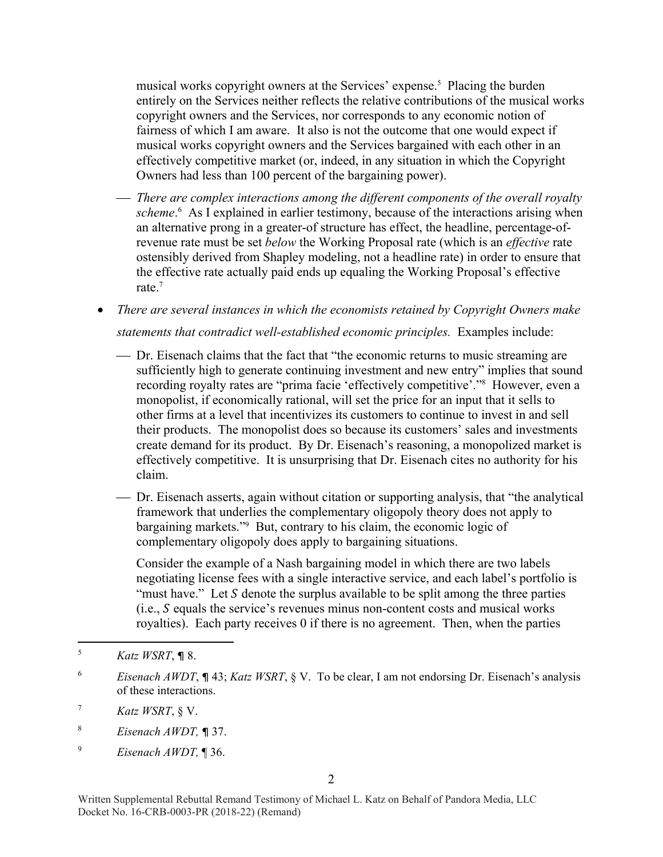musical works copyright owners at the Services' expense.<sup>5</sup> Placing the burden entirely on the Services neither reflects the relative contributions of the musical works copyright owners and the Services, nor corresponds to any economic notion of fairness of which I am aware. It also is not the outcome that one would expect if musical works copyright owners and the Services bargained with each other in an effectively competitive market (or, indeed, in any situation in which the Copyright Owners had less than 100 percent of the bargaining power).

- *There are complex interactions among the different components of the overall royalty*  scheme.<sup>6</sup> As I explained in earlier testimony, because of the interactions arising when an alternative prong in a greater-of structure has effect, the headline, percentage-ofrevenue rate must be set *below* the Working Proposal rate (which is an *effective* rate ostensibly derived from Shapley modeling, not a headline rate) in order to ensure that the effective rate actually paid ends up equaling the Working Proposal's effective rate.7
- *There are several instances in which the economists retained by Copyright Owners make statements that contradict well-established economic principles.* Examples include:
	- Dr. Eisenach claims that the fact that "the economic returns to music streaming are sufficiently high to generate continuing investment and new entry" implies that sound recording royalty rates are "prima facie 'effectively competitive'."8 However, even a monopolist, if economically rational, will set the price for an input that it sells to other firms at a level that incentivizes its customers to continue to invest in and sell their products. The monopolist does so because its customers' sales and investments create demand for its product. By Dr. Eisenach's reasoning, a monopolized market is effectively competitive. It is unsurprising that Dr. Eisenach cites no authority for his claim.
	- Dr. Eisenach asserts, again without citation or supporting analysis, that "the analytical framework that underlies the complementary oligopoly theory does not apply to bargaining markets."9 But, contrary to his claim, the economic logic of complementary oligopoly does apply to bargaining situations.

Consider the example of a Nash bargaining model in which there are two labels negotiating license fees with a single interactive service, and each label's portfolio is "must have." Let  $S$  denote the surplus available to be split among the three parties  $(i.e., S equals the service's revenues minus non-content costs and musical works$ royalties). Each party receives 0 if there is no agreement. Then, when the parties

 $\overline{a}$ 

 $\overline{Q}$ *Eisenach AWDT,* ¶ 36.

<sup>5</sup> *Katz WSRT*, ¶ 8.

<sup>6</sup> *Eisenach AWDT*, ¶ 43; *Katz WSRT*, § V. To be clear, I am not endorsing Dr. Eisenach's analysis of these interactions.

<sup>7</sup> *Katz WSRT*, § V.

<sup>8</sup> *Eisenach AWDT,* ¶ 37.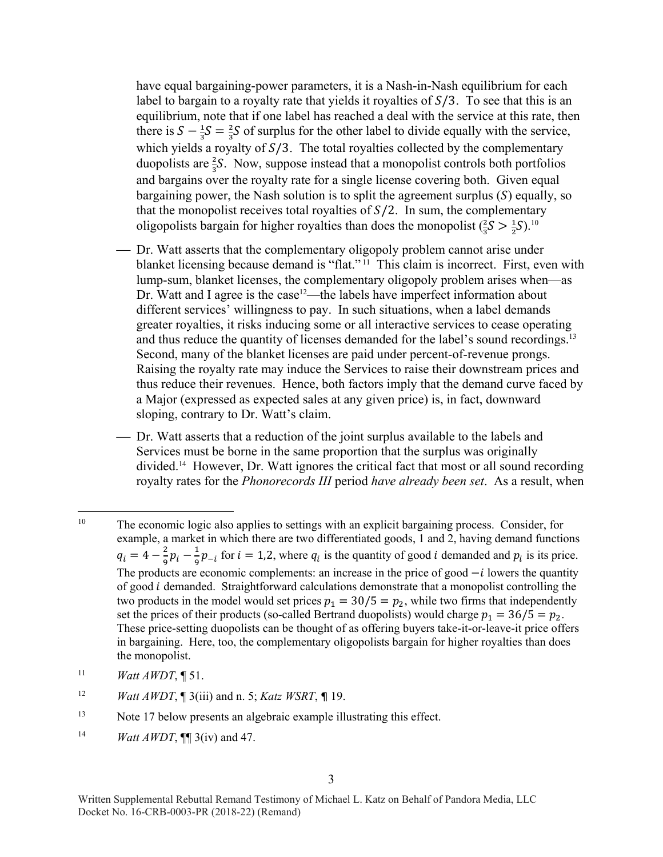have equal bargaining-power parameters, it is a Nash-in-Nash equilibrium for each label to bargain to a royalty rate that yields it royalties of  $S/3$ . To see that this is an equilibrium, note that if one label has reached a deal with the service at this rate, then there is  $S - \frac{1}{3}S = \frac{2}{3}S$  of surplus for the other label to divide equally with the service, which yields a royalty of  $S/3$ . The total royalties collected by the complementary duopolists are  $\frac{2}{3}S$ . Now, suppose instead that a monopolist controls both portfolios and bargains over the royalty rate for a single license covering both. Given equal bargaining power, the Nash solution is to split the agreement surplus  $(S)$  equally, so that the monopolist receives total royalties of  $S/2$ . In sum, the complementary oligopolists bargain for higher royalties than does the monopolist  $(\frac{2}{3}S > \frac{1}{2}S)^{10}$ 

- Dr. Watt asserts that the complementary oligopoly problem cannot arise under blanket licensing because demand is "flat." 11 This claim is incorrect. First, even with lump-sum, blanket licenses, the complementary oligopoly problem arises when—as Dr. Watt and I agree is the case<sup>12</sup>—the labels have imperfect information about different services' willingness to pay. In such situations, when a label demands greater royalties, it risks inducing some or all interactive services to cease operating and thus reduce the quantity of licenses demanded for the label's sound recordings.<sup>13</sup> Second, many of the blanket licenses are paid under percent-of-revenue prongs. Raising the royalty rate may induce the Services to raise their downstream prices and thus reduce their revenues. Hence, both factors imply that the demand curve faced by a Major (expressed as expected sales at any given price) is, in fact, downward sloping, contrary to Dr. Watt's claim.
- Dr. Watt asserts that a reduction of the joint surplus available to the labels and Services must be borne in the same proportion that the surplus was originally divided.14 However, Dr. Watt ignores the critical fact that most or all sound recording royalty rates for the *Phonorecords III* period *have already been set*. As a result, when

- 11 *Watt AWDT*, ¶ 51.
- 12 *Watt AWDT*, ¶ 3(iii) and n. 5; *Katz WSRT*, ¶ 19.
- <sup>13</sup> Note 17 below presents an algebraic example illustrating this effect.
- 14 *Watt AWDT*, ¶¶ 3(iv) and 47.

 $\overline{a}$ <sup>10</sup> The economic logic also applies to settings with an explicit bargaining process. Consider, for example, a market in which there are two differentiated goods, 1 and 2, having demand functions  $q_i = 4 - \frac{2}{9}p_i - \frac{1}{9}p_{-i}$  for  $i = 1, 2$ , where  $q_i$  is the quantity of good *i* demanded and  $p_i$  is its price. The products are economic complements: an increase in the price of good  $-i$  lowers the quantity of good  $i$  demanded. Straightforward calculations demonstrate that a monopolist controlling the two products in the model would set prices  $p_1 = 30/5 = p_2$ , while two firms that independently set the prices of their products (so-called Bertrand duopolists) would charge  $p_1 = 36/5 = p_2$ . These price-setting duopolists can be thought of as offering buyers take-it-or-leave-it price offers in bargaining. Here, too, the complementary oligopolists bargain for higher royalties than does the monopolist.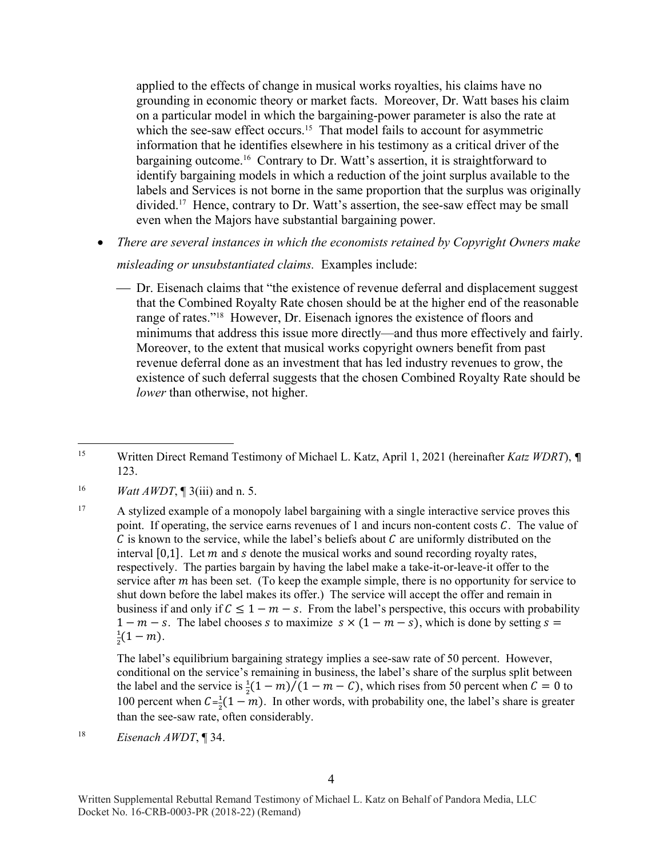applied to the effects of change in musical works royalties, his claims have no grounding in economic theory or market facts. Moreover, Dr. Watt bases his claim on a particular model in which the bargaining-power parameter is also the rate at which the see-saw effect occurs.<sup>15</sup> That model fails to account for asymmetric information that he identifies elsewhere in his testimony as a critical driver of the bargaining outcome.<sup>16</sup> Contrary to Dr. Watt's assertion, it is straightforward to identify bargaining models in which a reduction of the joint surplus available to the labels and Services is not borne in the same proportion that the surplus was originally divided.17 Hence, contrary to Dr. Watt's assertion, the see-saw effect may be small even when the Majors have substantial bargaining power.

*There are several instances in which the economists retained by Copyright Owners make* 

#### *misleading or unsubstantiated claims.* Examples include:

 Dr. Eisenach claims that "the existence of revenue deferral and displacement suggest that the Combined Royalty Rate chosen should be at the higher end of the reasonable range of rates."18 However, Dr. Eisenach ignores the existence of floors and minimums that address this issue more directly—and thus more effectively and fairly. Moreover, to the extent that musical works copyright owners benefit from past revenue deferral done as an investment that has led industry revenues to grow, the existence of such deferral suggests that the chosen Combined Royalty Rate should be *lower* than otherwise, not higher.

- 16 *Watt AWDT*, ¶ 3(iii) and n. 5.
- <sup>17</sup> A stylized example of a monopoly label bargaining with a single interactive service proves this point. If operating, the service earns revenues of 1 and incurs non-content costs  $C$ . The value of  $\mathcal C$  is known to the service, while the label's beliefs about  $\mathcal C$  are uniformly distributed on the interval  $[0,1]$ . Let  $m$  and  $s$  denote the musical works and sound recording royalty rates, respectively. The parties bargain by having the label make a take-it-or-leave-it offer to the service after  $m$  has been set. (To keep the example simple, there is no opportunity for service to shut down before the label makes its offer.) The service will accept the offer and remain in business if and only if  $C \le 1 - m - s$ . From the label's perspective, this occurs with probability  $1 - m - s$ . The label chooses s to maximize  $s \times (1 - m - s)$ , which is done by setting  $s =$ భ  $\frac{1}{2}(1-m).$

The label's equilibrium bargaining strategy implies a see-saw rate of 50 percent. However, conditional on the service's remaining in business, the label's share of the surplus split between the label and the service is  $\frac{1}{2}(1-m)/(1-m-C)$ , which rises from 50 percent when  $C = 0$  to 100 percent when  $C = \frac{1}{2}(1 - m)$ . In other words, with probability one, the label's share is greater than the see-saw rate, often considerably.

18 *Eisenach AWDT*, ¶ 34.

 $\overline{a}$ 15 Written Direct Remand Testimony of Michael L. Katz, April 1, 2021 (hereinafter *Katz WDRT*), ¶ 123.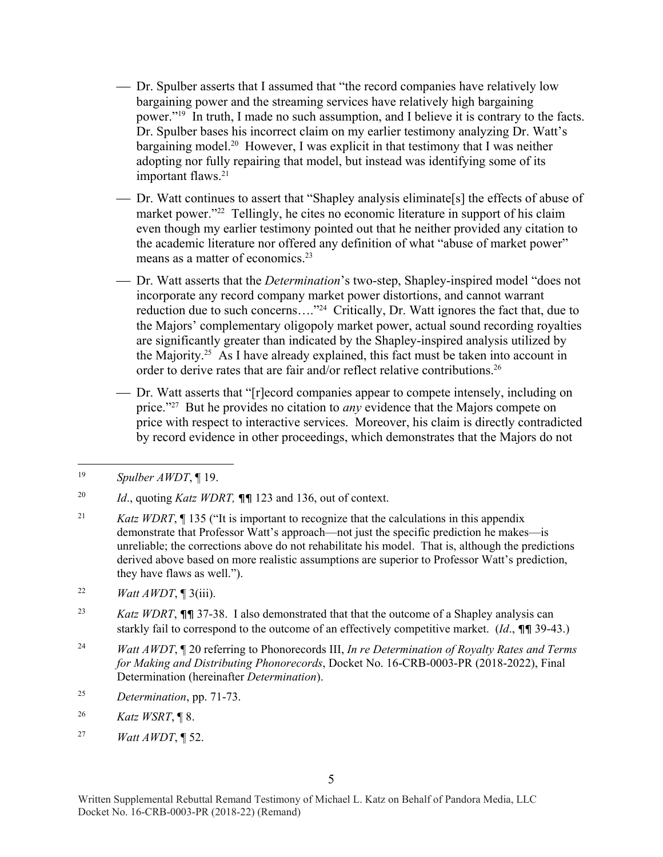- Dr. Spulber asserts that I assumed that "the record companies have relatively low bargaining power and the streaming services have relatively high bargaining power."19 In truth, I made no such assumption, and I believe it is contrary to the facts. Dr. Spulber bases his incorrect claim on my earlier testimony analyzing Dr. Watt's bargaining model.20 However, I was explicit in that testimony that I was neither adopting nor fully repairing that model, but instead was identifying some of its important flaws.<sup>21</sup>
- Dr. Watt continues to assert that "Shapley analysis eliminate[s] the effects of abuse of market power."<sup>22</sup> Tellingly, he cites no economic literature in support of his claim even though my earlier testimony pointed out that he neither provided any citation to the academic literature nor offered any definition of what "abuse of market power" means as a matter of economics.23
- Dr. Watt asserts that the *Determination*'s two-step, Shapley-inspired model "does not incorporate any record company market power distortions, and cannot warrant reduction due to such concerns…."24 Critically, Dr. Watt ignores the fact that, due to the Majors' complementary oligopoly market power, actual sound recording royalties are significantly greater than indicated by the Shapley-inspired analysis utilized by the Majority.<sup>25</sup> As I have already explained, this fact must be taken into account in order to derive rates that are fair and/or reflect relative contributions.<sup>26</sup>
- Dr. Watt asserts that "[r]ecord companies appear to compete intensely, including on price."27 But he provides no citation to *any* evidence that the Majors compete on price with respect to interactive services. Moreover, his claim is directly contradicted by record evidence in other proceedings, which demonstrates that the Majors do not

- <sup>21</sup> *Katz WDRT*, ¶ 135 ("It is important to recognize that the calculations in this appendix demonstrate that Professor Watt's approach—not just the specific prediction he makes—is unreliable; the corrections above do not rehabilitate his model. That is, although the predictions derived above based on more realistic assumptions are superior to Professor Watt's prediction, they have flaws as well.").
- 22 *Watt AWDT*, ¶ 3(iii).
- 23 *Katz WDRT*, ¶¶ 37-38. I also demonstrated that that the outcome of a Shapley analysis can starkly fail to correspond to the outcome of an effectively competitive market. (*Id*., ¶¶ 39-43.)
- 24 *Watt AWDT*, ¶ 20 referring to Phonorecords III, *In re Determination of Royalty Rates and Terms for Making and Distributing Phonorecords*, Docket No. 16-CRB-0003-PR (2018-2022), Final Determination (hereinafter *Determination*).
- 25 *Determination*, pp. 71-73.
- 26 *Katz WSRT*, ¶ 8.
- 27 *Watt AWDT*, ¶ 52.

 $\overline{a}$ 19 *Spulber AWDT*, ¶ 19.

<sup>20</sup> *Id*., quoting *Katz WDRT,* ¶¶ 123 and 136, out of context.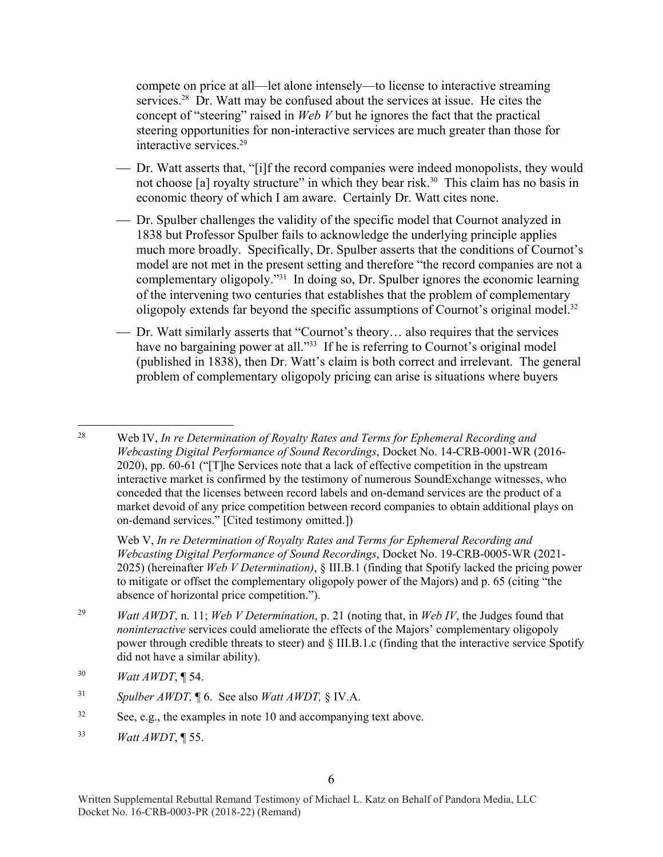compete on price at all—let alone intensely—to license to interactive streaming services.<sup>28</sup> Dr. Watt may be confused about the services at issue. He cites the concept of "steering" raised in *Web V* but he ignores the fact that the practical steering opportunities for non-interactive services are much greater than those for interactive services.29

- Dr. Watt asserts that, "[i]f the record companies were indeed monopolists, they would not choose [a] royalty structure" in which they bear risk.<sup>30</sup> This claim has no basis in economic theory of which I am aware. Certainly Dr. Watt cites none.
- Dr. Spulber challenges the validity of the specific model that Cournot analyzed in 1838 but Professor Spulber fails to acknowledge the underlying principle applies much more broadly. Specifically, Dr. Spulber asserts that the conditions of Cournot's model are not met in the present setting and therefore "the record companies are not a complementary oligopoly."31 In doing so, Dr. Spulber ignores the economic learning of the intervening two centuries that establishes that the problem of complementary oligopoly extends far beyond the specific assumptions of Cournot's original model.<sup>32</sup>
- Dr. Watt similarly asserts that "Cournot's theory… also requires that the services have no bargaining power at all."<sup>33</sup> If he is referring to Cournot's original model (published in 1838), then Dr. Watt's claim is both correct and irrelevant. The general problem of complementary oligopoly pricing can arise is situations where buyers

Web V, *In re Determination of Royalty Rates and Terms for Ephemeral Recording and Webcasting Digital Performance of Sound Recordings*, Docket No. 19-CRB-0005-WR (2021- 2025) (hereinafter *Web V Determination)*, § III.B.1 (finding that Spotify lacked the pricing power to mitigate or offset the complementary oligopoly power of the Majors) and p. 65 (citing "the absence of horizontal price competition.").

- 29 *Watt AWDT*, n. 11; *Web V Determination*, p. 21 (noting that, in *Web IV*, the Judges found that *noninteractive* services could ameliorate the effects of the Majors' complementary oligopoly power through credible threats to steer) and § III.B.1.c (finding that the interactive service Spotify did not have a similar ability).
- 30 *Watt AWDT*, ¶ 54.
- 31 *Spulber AWDT,* ¶ 6. See also *Watt AWDT,* § IV.A.
- $32$  See, e.g., the examples in note 10 and accompanying text above.
- 33 *Watt AWDT*, ¶ 55.

<sup>28</sup> 28 Web IV, *In re Determination of Royalty Rates and Terms for Ephemeral Recording and Webcasting Digital Performance of Sound Recordings*, Docket No. 14-CRB-0001-WR (2016- 2020), pp. 60-61 ("[T]he Services note that a lack of effective competition in the upstream interactive market is confirmed by the testimony of numerous SoundExchange witnesses, who conceded that the licenses between record labels and on-demand services are the product of a market devoid of any price competition between record companies to obtain additional plays on on-demand services." [Cited testimony omitted.])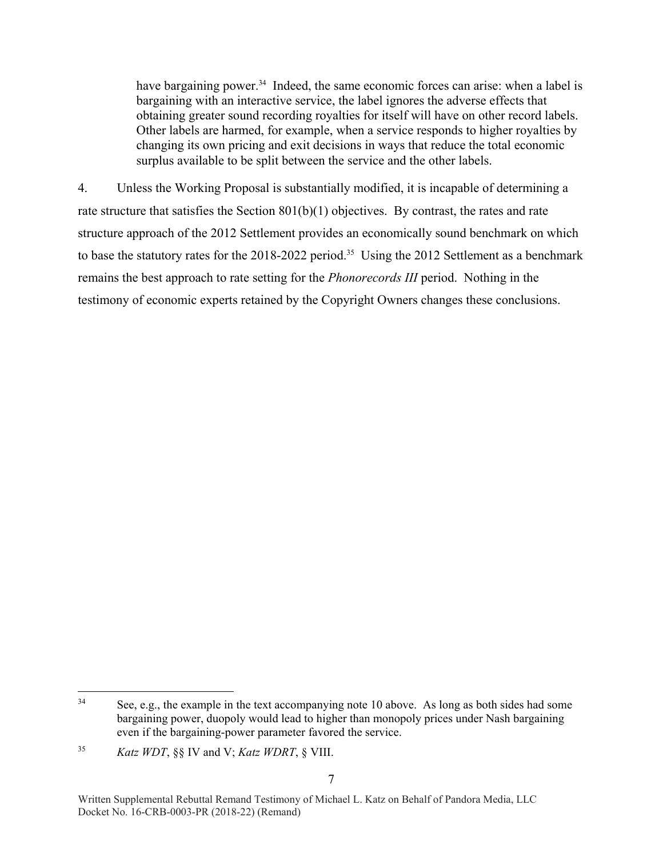have bargaining power.<sup>34</sup> Indeed, the same economic forces can arise: when a label is bargaining with an interactive service, the label ignores the adverse effects that obtaining greater sound recording royalties for itself will have on other record labels. Other labels are harmed, for example, when a service responds to higher royalties by changing its own pricing and exit decisions in ways that reduce the total economic surplus available to be split between the service and the other labels.

4. Unless the Working Proposal is substantially modified, it is incapable of determining a rate structure that satisfies the Section  $801(b)(1)$  objectives. By contrast, the rates and rate structure approach of the 2012 Settlement provides an economically sound benchmark on which to base the statutory rates for the 2018-2022 period.<sup>35</sup> Using the 2012 Settlement as a benchmark remains the best approach to rate setting for the *Phonorecords III* period. Nothing in the testimony of economic experts retained by the Copyright Owners changes these conclusions.

<sup>34</sup> See, e.g., the example in the text accompanying note 10 above. As long as both sides had some bargaining power, duopoly would lead to higher than monopoly prices under Nash bargaining even if the bargaining-power parameter favored the service.

<sup>35</sup> *Katz WDT*, §§ IV and V; *Katz WDRT*, § VIII.

Written Supplemental Rebuttal Remand Testimony of Michael L. Katz on Behalf of Pandora Media, LLC Docket No. 16-CRB-0003-PR (2018-22) (Remand)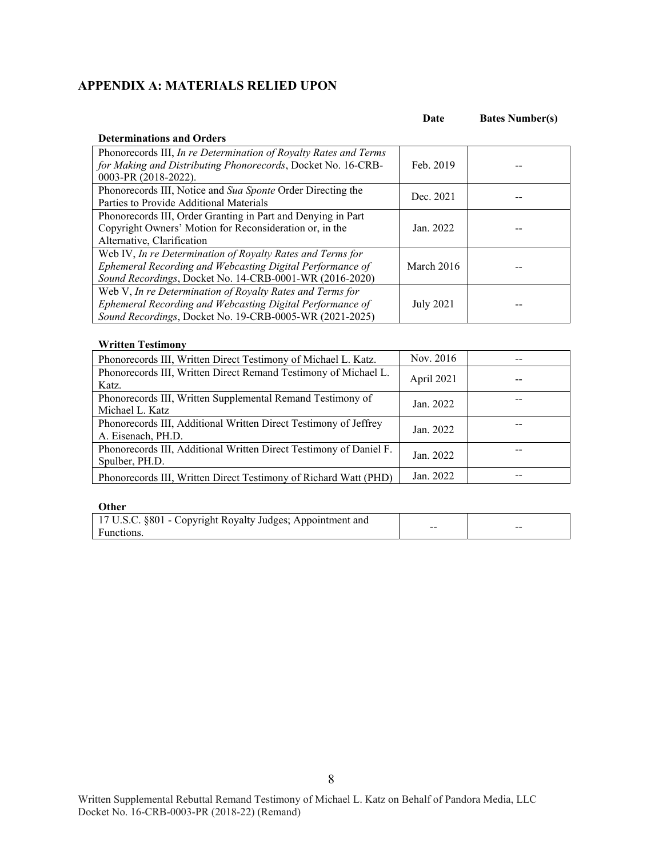### **APPENDIX A: MATERIALS RELIED UPON**

|                                                                  | vau        | <b>Dates Prample (3)</b> |
|------------------------------------------------------------------|------------|--------------------------|
| <b>Determinations and Orders</b>                                 |            |                          |
| Phonorecords III, In re Determination of Royalty Rates and Terms |            |                          |
| for Making and Distributing Phonorecords, Docket No. 16-CRB-     | Feb. 2019  |                          |
| 0003-PR (2018-2022).                                             |            |                          |
| Phonorecords III, Notice and Sua Sponte Order Directing the      |            |                          |
| Parties to Provide Additional Materials                          | Dec. 2021  |                          |
| Phonorecords III, Order Granting in Part and Denying in Part     |            |                          |
| Copyright Owners' Motion for Reconsideration or, in the          | Jan. 2022  |                          |
| Alternative, Clarification                                       |            |                          |
| Web IV, In re Determination of Royalty Rates and Terms for       |            |                          |
| Ephemeral Recording and Webcasting Digital Performance of        | March 2016 |                          |
| Sound Recordings, Docket No. 14-CRB-0001-WR (2016-2020)          |            |                          |
| Web V, In re Determination of Royalty Rates and Terms for        |            |                          |
| Ephemeral Recording and Webcasting Digital Performance of        | July 2021  |                          |
| Sound Recordings, Docket No. 19-CRB-0005-WR (2021-2025)          |            |                          |

#### **Written Testimony**

| Phonorecords III, Written Direct Testimony of Michael L. Katz.                         | Nov. 2016  |  |
|----------------------------------------------------------------------------------------|------------|--|
| Phonorecords III, Written Direct Remand Testimony of Michael L.<br>Katz.               | April 2021 |  |
| Phonorecords III, Written Supplemental Remand Testimony of<br>Michael L. Katz          | Jan. 2022  |  |
| Phonorecords III, Additional Written Direct Testimony of Jeffrey<br>A. Eisenach, PH.D. | Jan. 2022  |  |
| Phonorecords III, Additional Written Direct Testimony of Daniel F.<br>Spulber, PH.D.   | Jan. 2022  |  |
| Phonorecords III, Written Direct Testimony of Richard Watt (PHD)                       | Jan. 2022  |  |

| Other                                                      |    |    |
|------------------------------------------------------------|----|----|
| 17 U.S.C. §801 - Copyright Royalty Judges; Appointment and |    |    |
| Functions.                                                 | -- | -- |

**Date Bates Number(s)**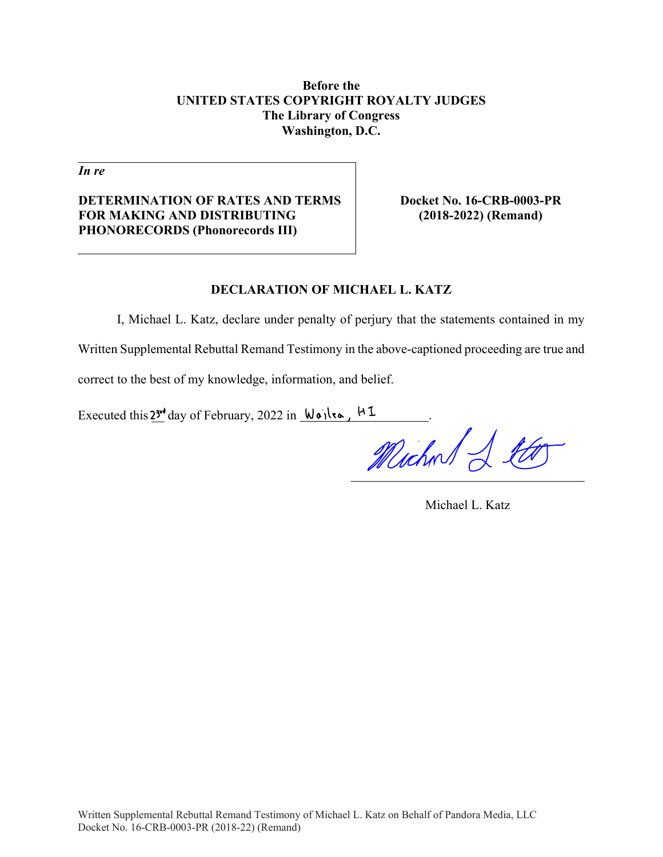### **Before the UNITED STATES COPYRIGHT ROYALTY JUDGES The Library of Congress Washington, D.C.**

*In re* 

**DETERMINATION OF RATES AND TERMS FOR MAKING AND DISTRIBUTING PHONORECORDS (Phonorecords III)** 

**Docket No. 16-CRB-0003-PR (2018-2022) (Remand)** 

### **DECLARATION OF MICHAEL L. KATZ**

I, Michael L. Katz, declare under penalty of perjury that the statements contained in my Written Supplemental Rebuttal Remand Testimony in the above-captioned proceeding are true and correct to the best of my knowledge, information, and belief.

Executed this  $2^{3^{rd}}$  day of February, 2022 in  $\forall \alpha \in \mathbb{R}$ .

Michael & the

Michael L. Katz